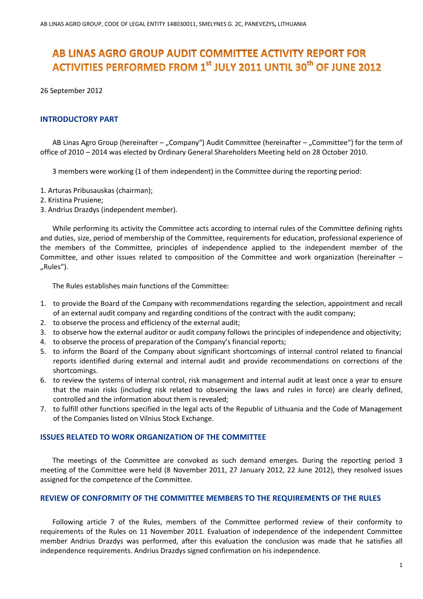# AB LINAS AGRO GROUP AUDIT COMMITTEE ACTIVITY REPORT FOR **ACTIVITIES PERFORMED FROM 1st JULY 2011 UNTIL 30<sup>th</sup> OF JUNE 2012**

26 September 2012

## **INTRODUCTORY PART**

AB Linas Agro Group (hereinafter – "Company") Audit Committee (hereinafter – "Committee") for the term of office of 2010 – 2014 was elected by Ordinary General Shareholders Meeting held on 28 October 2010.

3 members were working (1 of them independent) in the Committee during the reporting period:

- 1. Arturas Pribusauskas (chairman);
- 2. Kristina Prusiene;
- 3. Andrius Drazdys (independent member).

While performing its activity the Committee acts according to internal rules of the Committee defining rights and duties, size, period of membership of the Committee, requirements for education, professional experience of the members of the Committee, principles of independence applied to the independent member of the Committee, and other issues related to composition of the Committee and work organization (hereinafter – "Rules").

The Rules establishes main functions of the Committee:

- 1. to provide the Board of the Company with recommendations regarding the selection, appointment and recall of an external audit company and regarding conditions of the contract with the audit company;
- 2. to observe the process and efficiency of the external audit;
- 3. to observe how the external auditor or audit company follows the principles of independence and objectivity;
- 4. to observe the process of preparation of the Company's financial reports;
- 5. to inform the Board of the Company about significant shortcomings of internal control related to financial reports identified during external and internal audit and provide recommendations on corrections of the shortcomings.
- 6. to review the systems of internal control, risk management and internal audit at least once a year to ensure that the main risks (including risk related to observing the laws and rules in force) are clearly defined, controlled and the information about them is revealed;
- 7. to fulfill other functions specified in the legal acts of the Republic of Lithuania and the Code of Management of the Companies listed on Vilnius Stock Exchange.

#### **ISSUES RELATED TO WORK ORGANIZATION OF THE COMMITTEE**

The meetings of the Committee are convoked as such demand emerges. During the reporting period 3 meeting of the Committee were held (8 November 2011, 27 January 2012, 22 June 2012), they resolved issues assigned for the competence of the Committee.

#### **REVIEW OF CONFORMITY OF THE COMMITTEE MEMBERS TO THE REQUIREMENTS OF THE RULES**

Following article 7 of the Rules, members of the Committee performed review of their conformity to requirements of the Rules on 11 November 2011. Evaluation of independence of the independent Committee member Andrius Drazdys was performed, after this evaluation the conclusion was made that he satisfies all independence requirements. Andrius Drazdys signed confirmation on his independence.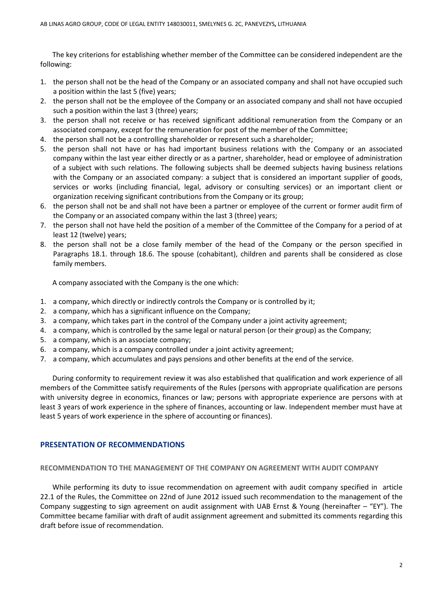The key criterions for establishing whether member of the Committee can be considered independent are the following:

- 1. the person shall not be the head of the Company or an associated company and shall not have occupied such a position within the last 5 (five) years;
- 2. the person shall not be the employee of the Company or an associated company and shall not have occupied such a position within the last 3 (three) years;
- 3. the person shall not receive or has received significant additional remuneration from the Company or an associated company, except for the remuneration for post of the member of the Committee;
- 4. the person shall not be a controlling shareholder or represent such a shareholder;
- 5. the person shall not have or has had important business relations with the Company or an associated company within the last year either directly or as a partner, shareholder, head or employee of administration of a subject with such relations. The following subjects shall be deemed subjects having business relations with the Company or an associated company: a subject that is considered an important supplier of goods, services or works (including financial, legal, advisory or consulting services) or an important client or organization receiving significant contributions from the Company or its group;
- 6. the person shall not be and shall not have been a partner or employee of the current or former audit firm of the Company or an associated company within the last 3 (three) years;
- 7. the person shall not have held the position of a member of the Committee of the Company for a period of at least 12 (twelve) years;
- 8. the person shall not be a close family member of the head of the Company or the person specified in Paragraphs 18.1. through 18.6. The spouse (cohabitant), children and parents shall be considered as close family members.

A company associated with the Company is the one which:

- 1. a company, which directly or indirectly controls the Company or is controlled by it;
- 2. a company, which has a significant influence on the Company;
- 3. a company, which takes part in the control of the Company under a joint activity agreement;
- 4. a company, which is controlled by the same legal or natural person (or their group) as the Company;
- 5. a company, which is an associate company;
- 6. a company, which is a company controlled under a joint activity agreement;
- 7. a company, which accumulates and pays pensions and other benefits at the end of the service.

During conformity to requirement review it was also established that qualification and work experience of all members of the Committee satisfy requirements of the Rules (persons with appropriate qualification are persons with university degree in economics, finances or law; persons with appropriate experience are persons with at least 3 years of work experience in the sphere of finances, accounting or law. Independent member must have at least 5 years of work experience in the sphere of accounting or finances).

## **PRESENTATION OF RECOMMENDATIONS**

#### **RECOMMENDATION TO THE MANAGEMENT OF THE COMPANY ON AGREEMENT WITH AUDIT COMPANY**

While performing its duty to issue recommendation on agreement with audit company specified in article 22.1 of the Rules, the Committee on 22nd of June 2012 issued such recommendation to the management of the Company suggesting to sign agreement on audit assignment with UAB Ernst & Young (hereinafter – "EY"). The Committee became familiar with draft of audit assignment agreement and submitted its comments regarding this draft before issue of recommendation.